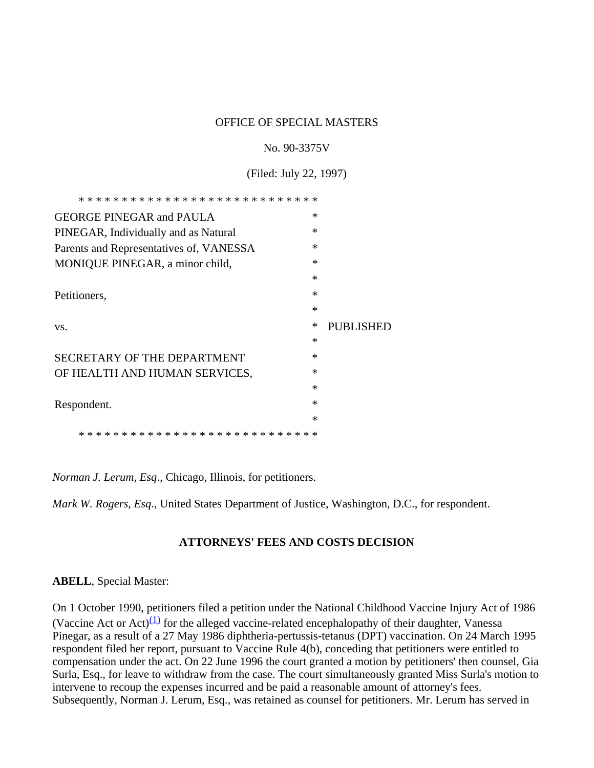#### OFFICE OF SPECIAL MASTERS

#### No. 90-3375V

(Filed: July 22, 1997)

| $\ast$<br><b>GEORGE PINEGAR and PAULA</b>         |                  |
|---------------------------------------------------|------------------|
| $\ast$<br>PINEGAR, Individually and as Natural    |                  |
| $\ast$<br>Parents and Representatives of, VANESSA |                  |
| MONIQUE PINEGAR, a minor child,<br>∗              |                  |
| $\ast$                                            |                  |
| $\ast$<br>Petitioners,                            |                  |
| ∗                                                 |                  |
|                                                   |                  |
| ∗<br>VS.                                          | <b>PUBLISHED</b> |
| ∗                                                 |                  |
| $\ast$<br>SECRETARY OF THE DEPARTMENT             |                  |
| ∗<br>OF HEALTH AND HUMAN SERVICES,                |                  |
| $\ast$                                            |                  |
| $\ast$<br>Respondent.                             |                  |
| $\ast$                                            |                  |

*Norman J. Lerum, Esq*., Chicago, Illinois, for petitioners.

*Mark W. Rogers, Esq*., United States Department of Justice, Washington, D.C., for respondent.

#### **ATTORNEYS' FEES AND COSTS DECISION**

#### **ABELL**, Special Master:

On 1 October 1990, petitioners filed a petition under the National Childhood Vaccine Injury Act of 1986 (Vaccine Act or Act) $(1)$  for the alleged vaccine-related encephalopathy of their daughter, Vanessa Pinegar, as a result of a 27 May 1986 diphtheria-pertussis-tetanus (DPT) vaccination. On 24 March 1995 respondent filed her report, pursuant to Vaccine Rule 4(b), conceding that petitioners were entitled to compensation under the act. On 22 June 1996 the court granted a motion by petitioners' then counsel, Gia Surla, Esq., for leave to withdraw from the case. The court simultaneously granted Miss Surla's motion to intervene to recoup the expenses incurred and be paid a reasonable amount of attorney's fees. Subsequently, Norman J. Lerum, Esq., was retained as counsel for petitioners. Mr. Lerum has served in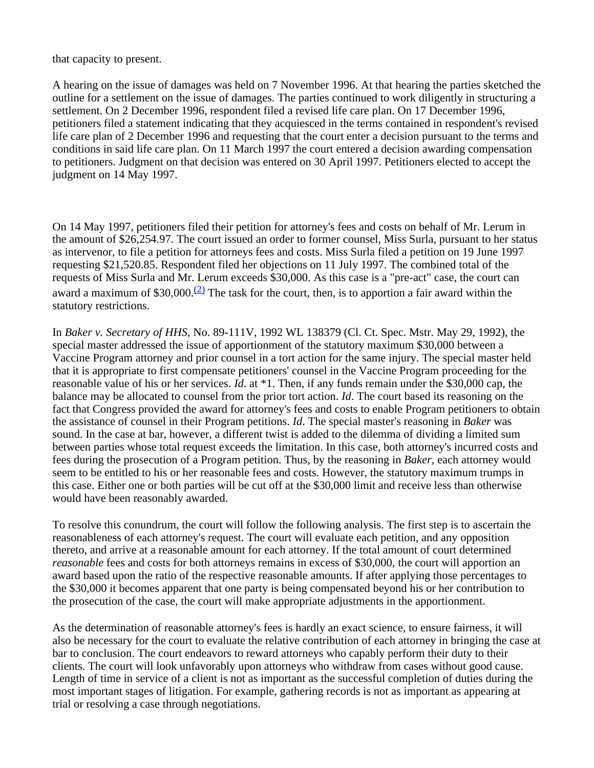that capacity to present.

A hearing on the issue of damages was held on 7 November 1996. At that hearing the parties sketched the outline for a settlement on the issue of damages. The parties continued to work diligently in structuring a settlement. On 2 December 1996, respondent filed a revised life care plan. On 17 December 1996, petitioners filed a statement indicating that they acquiesced in the terms contained in respondent's revised life care plan of 2 December 1996 and requesting that the court enter a decision pursuant to the terms and conditions in said life care plan. On 11 March 1997 the court entered a decision awarding compensation to petitioners. Judgment on that decision was entered on 30 April 1997. Petitioners elected to accept the judgment on 14 May 1997.

On 14 May 1997, petitioners filed their petition for attorney's fees and costs on behalf of Mr. Lerum in the amount of \$26,254.97. The court issued an order to former counsel, Miss Surla, pursuant to her status as intervenor, to file a petition for attorneys fees and costs. Miss Surla filed a petition on 19 June 1997 requesting \$21,520.85. Respondent filed her objections on 11 July 1997. The combined total of the requests of Miss Surla and Mr. Lerum exceeds \$30,000. As this case is a "pre-act" case, the court can award a maximum of  $$30,000$ .<sup>(2)</sup> The task for the court, then, is to apportion a fair award within the statutory restrictions.

In *Baker v. Secretary of HHS*, No. 89-111V, 1992 WL 138379 (Cl. Ct. Spec. Mstr. May 29, 1992), the special master addressed the issue of apportionment of the statutory maximum \$30,000 between a Vaccine Program attorney and prior counsel in a tort action for the same injury. The special master held that it is appropriate to first compensate petitioners' counsel in the Vaccine Program proceeding for the reasonable value of his or her services. *Id*. at \*1. Then, if any funds remain under the \$30,000 cap, the balance may be allocated to counsel from the prior tort action. *Id*. The court based its reasoning on the fact that Congress provided the award for attorney's fees and costs to enable Program petitioners to obtain the assistance of counsel in their Program petitions. *Id*. The special master's reasoning in *Baker* was sound. In the case at bar, however, a different twist is added to the dilemma of dividing a limited sum between parties whose total request exceeds the limitation. In this case, both attorney's incurred costs and fees during the prosecution of a Program petition. Thus, by the reasoning in *Baker*, each attorney would seem to be entitled to his or her reasonable fees and costs. However, the statutory maximum trumps in this case. Either one or both parties will be cut off at the \$30,000 limit and receive less than otherwise would have been reasonably awarded.

To resolve this conundrum, the court will follow the following analysis. The first step is to ascertain the reasonableness of each attorney's request. The court will evaluate each petition, and any opposition thereto, and arrive at a reasonable amount for each attorney. If the total amount of court determined *reasonable* fees and costs for both attorneys remains in excess of \$30,000, the court will apportion an award based upon the ratio of the respective reasonable amounts. If after applying those percentages to the \$30,000 it becomes apparent that one party is being compensated beyond his or her contribution to the prosecution of the case, the court will make appropriate adjustments in the apportionment.

As the determination of reasonable attorney's fees is hardly an exact science, to ensure fairness, it will also be necessary for the court to evaluate the relative contribution of each attorney in bringing the case at bar to conclusion. The court endeavors to reward attorneys who capably perform their duty to their clients. The court will look unfavorably upon attorneys who withdraw from cases without good cause. Length of time in service of a client is not as important as the successful completion of duties during the most important stages of litigation. For example, gathering records is not as important as appearing at trial or resolving a case through negotiations.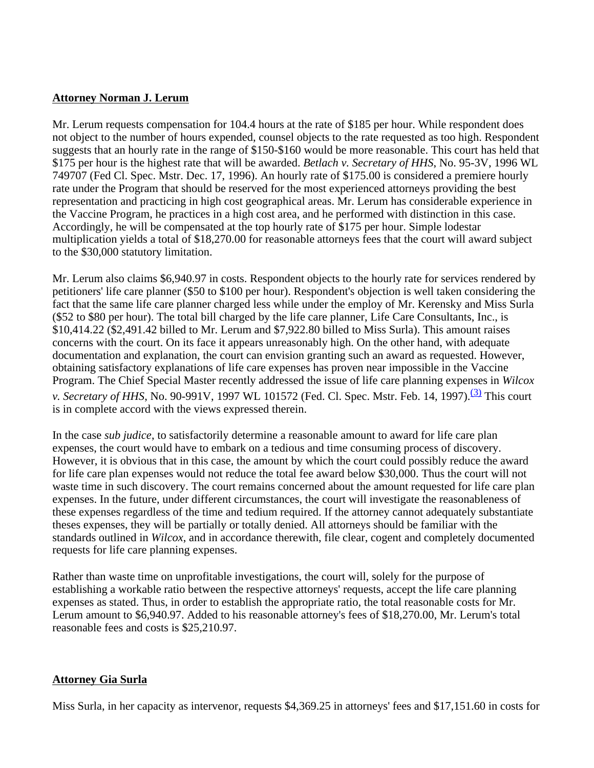### **Attorney Norman J. Lerum**

Mr. Lerum requests compensation for 104.4 hours at the rate of \$185 per hour. While respondent does not object to the number of hours expended, counsel objects to the rate requested as too high. Respondent suggests that an hourly rate in the range of \$150-\$160 would be more reasonable. This court has held that \$175 per hour is the highest rate that will be awarded. *Betlach v. Secretary of HHS*, No. 95-3V, 1996 WL 749707 (Fed Cl. Spec. Mstr. Dec. 17, 1996). An hourly rate of \$175.00 is considered a premiere hourly rate under the Program that should be reserved for the most experienced attorneys providing the best representation and practicing in high cost geographical areas. Mr. Lerum has considerable experience in the Vaccine Program, he practices in a high cost area, and he performed with distinction in this case. Accordingly, he will be compensated at the top hourly rate of \$175 per hour. Simple lodestar multiplication yields a total of \$18,270.00 for reasonable attorneys fees that the court will award subject to the \$30,000 statutory limitation.

Mr. Lerum also claims \$6,940.97 in costs. Respondent objects to the hourly rate for services rendered by petitioners' life care planner (\$50 to \$100 per hour). Respondent's objection is well taken considering the fact that the same life care planner charged less while under the employ of Mr. Kerensky and Miss Surla (\$52 to \$80 per hour). The total bill charged by the life care planner, Life Care Consultants, Inc., is \$10,414.22 (\$2,491.42 billed to Mr. Lerum and \$7,922.80 billed to Miss Surla). This amount raises concerns with the court. On its face it appears unreasonably high. On the other hand, with adequate documentation and explanation, the court can envision granting such an award as requested. However, obtaining satisfactory explanations of life care expenses has proven near impossible in the Vaccine Program. The Chief Special Master recently addressed the issue of life care planning expenses in *Wilcox v. Secretary of HHS*, No. 90-991V, 1997 WL 101572 (Fed. Cl. Spec. Mstr. Feb. 14, 1997).<sup>(3)</sup> This court is in complete accord with the views expressed therein.

In the case *sub judice*, to satisfactorily determine a reasonable amount to award for life care plan expenses, the court would have to embark on a tedious and time consuming process of discovery. However, it is obvious that in this case, the amount by which the court could possibly reduce the award for life care plan expenses would not reduce the total fee award below \$30,000. Thus the court will not waste time in such discovery. The court remains concerned about the amount requested for life care plan expenses. In the future, under different circumstances, the court will investigate the reasonableness of these expenses regardless of the time and tedium required. If the attorney cannot adequately substantiate theses expenses, they will be partially or totally denied. All attorneys should be familiar with the standards outlined in *Wilcox*, and in accordance therewith, file clear, cogent and completely documented requests for life care planning expenses.

Rather than waste time on unprofitable investigations, the court will, solely for the purpose of establishing a workable ratio between the respective attorneys' requests, accept the life care planning expenses as stated. Thus, in order to establish the appropriate ratio, the total reasonable costs for Mr. Lerum amount to \$6,940.97. Added to his reasonable attorney's fees of \$18,270.00, Mr. Lerum's total reasonable fees and costs is \$25,210.97.

## **Attorney Gia Surla**

Miss Surla, in her capacity as intervenor, requests \$4,369.25 in attorneys' fees and \$17,151.60 in costs for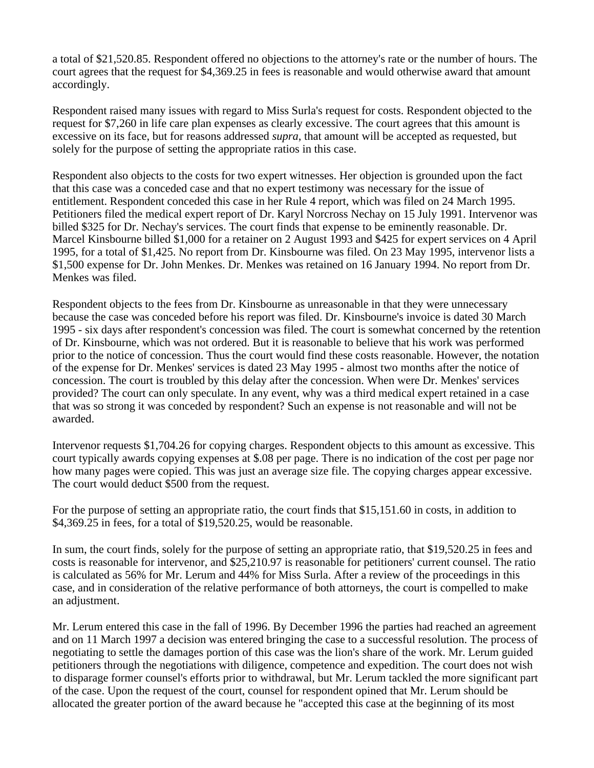a total of \$21,520.85. Respondent offered no objections to the attorney's rate or the number of hours. The court agrees that the request for \$4,369.25 in fees is reasonable and would otherwise award that amount accordingly.

Respondent raised many issues with regard to Miss Surla's request for costs. Respondent objected to the request for \$7,260 in life care plan expenses as clearly excessive. The court agrees that this amount is excessive on its face, but for reasons addressed *supra*, that amount will be accepted as requested, but solely for the purpose of setting the appropriate ratios in this case.

Respondent also objects to the costs for two expert witnesses. Her objection is grounded upon the fact that this case was a conceded case and that no expert testimony was necessary for the issue of entitlement. Respondent conceded this case in her Rule 4 report, which was filed on 24 March 1995. Petitioners filed the medical expert report of Dr. Karyl Norcross Nechay on 15 July 1991. Intervenor was billed \$325 for Dr. Nechay's services. The court finds that expense to be eminently reasonable. Dr. Marcel Kinsbourne billed \$1,000 for a retainer on 2 August 1993 and \$425 for expert services on 4 April 1995, for a total of \$1,425. No report from Dr. Kinsbourne was filed. On 23 May 1995, intervenor lists a \$1,500 expense for Dr. John Menkes. Dr. Menkes was retained on 16 January 1994. No report from Dr. Menkes was filed.

Respondent objects to the fees from Dr. Kinsbourne as unreasonable in that they were unnecessary because the case was conceded before his report was filed. Dr. Kinsbourne's invoice is dated 30 March 1995 - six days after respondent's concession was filed. The court is somewhat concerned by the retention of Dr. Kinsbourne, which was not ordered. But it is reasonable to believe that his work was performed prior to the notice of concession. Thus the court would find these costs reasonable. However, the notation of the expense for Dr. Menkes' services is dated 23 May 1995 - almost two months after the notice of concession. The court is troubled by this delay after the concession. When were Dr. Menkes' services provided? The court can only speculate. In any event, why was a third medical expert retained in a case that was so strong it was conceded by respondent? Such an expense is not reasonable and will not be awarded.

Intervenor requests \$1,704.26 for copying charges. Respondent objects to this amount as excessive. This court typically awards copying expenses at \$.08 per page. There is no indication of the cost per page nor how many pages were copied. This was just an average size file. The copying charges appear excessive. The court would deduct \$500 from the request.

For the purpose of setting an appropriate ratio, the court finds that \$15,151.60 in costs, in addition to \$4,369.25 in fees, for a total of \$19,520.25, would be reasonable.

In sum, the court finds, solely for the purpose of setting an appropriate ratio, that \$19,520.25 in fees and costs is reasonable for intervenor, and \$25,210.97 is reasonable for petitioners' current counsel. The ratio is calculated as 56% for Mr. Lerum and 44% for Miss Surla. After a review of the proceedings in this case, and in consideration of the relative performance of both attorneys, the court is compelled to make an adjustment.

Mr. Lerum entered this case in the fall of 1996. By December 1996 the parties had reached an agreement and on 11 March 1997 a decision was entered bringing the case to a successful resolution. The process of negotiating to settle the damages portion of this case was the lion's share of the work. Mr. Lerum guided petitioners through the negotiations with diligence, competence and expedition. The court does not wish to disparage former counsel's efforts prior to withdrawal, but Mr. Lerum tackled the more significant part of the case. Upon the request of the court, counsel for respondent opined that Mr. Lerum should be allocated the greater portion of the award because he "accepted this case at the beginning of its most